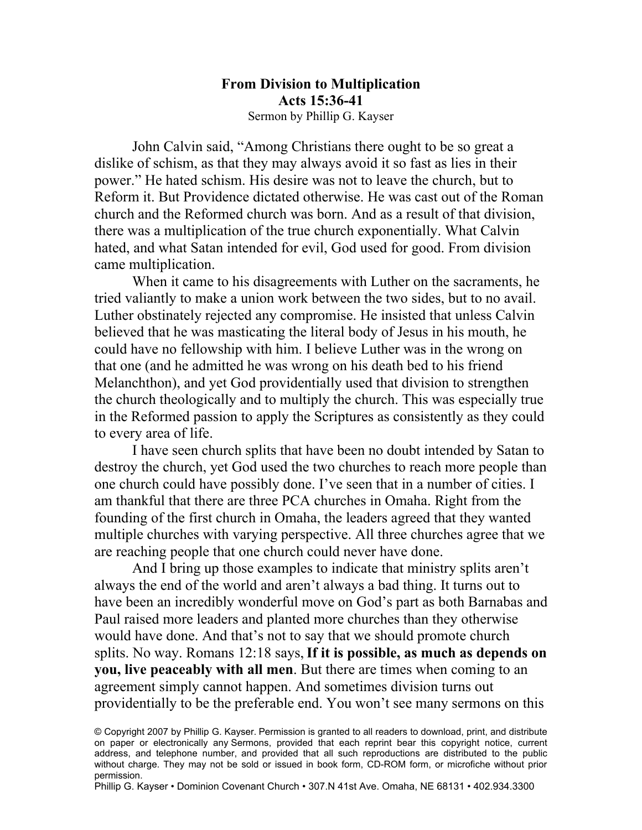#### **From Division to Multiplication Acts 15:36-41** Sermon by Phillip G. Kayser

John Calvin said, "Among Christians there ought to be so great a dislike of schism, as that they may always avoid it so fast as lies in their power." He hated schism. His desire was not to leave the church, but to Reform it. But Providence dictated otherwise. He was cast out of the Roman church and the Reformed church was born. And as a result of that division, there was a multiplication of the true church exponentially. What Calvin hated, and what Satan intended for evil, God used for good. From division came multiplication.

When it came to his disagreements with Luther on the sacraments, he tried valiantly to make a union work between the two sides, but to no avail. Luther obstinately rejected any compromise. He insisted that unless Calvin believed that he was masticating the literal body of Jesus in his mouth, he could have no fellowship with him. I believe Luther was in the wrong on that one (and he admitted he was wrong on his death bed to his friend Melanchthon), and yet God providentially used that division to strengthen the church theologically and to multiply the church. This was especially true in the Reformed passion to apply the Scriptures as consistently as they could to every area of life.

I have seen church splits that have been no doubt intended by Satan to destroy the church, yet God used the two churches to reach more people than one church could have possibly done. I've seen that in a number of cities. I am thankful that there are three PCA churches in Omaha. Right from the founding of the first church in Omaha, the leaders agreed that they wanted multiple churches with varying perspective. All three churches agree that we are reaching people that one church could never have done.

And I bring up those examples to indicate that ministry splits aren't always the end of the world and aren't always a bad thing. It turns out to have been an incredibly wonderful move on God's part as both Barnabas and Paul raised more leaders and planted more churches than they otherwise would have done. And that's not to say that we should promote church splits. No way. Romans 12:18 says, **If it is possible, as much as depends on you, live peaceably with all men**. But there are times when coming to an agreement simply cannot happen. And sometimes division turns out providentially to be the preferable end. You won't see many sermons on this

<sup>©</sup> Copyright 2007 by Phillip G. Kayser. Permission is granted to all readers to download, print, and distribute on paper or electronically any Sermons, provided that each reprint bear this copyright notice, current address, and telephone number, and provided that all such reproductions are distributed to the public without charge. They may not be sold or issued in book form, CD-ROM form, or microfiche without prior permission.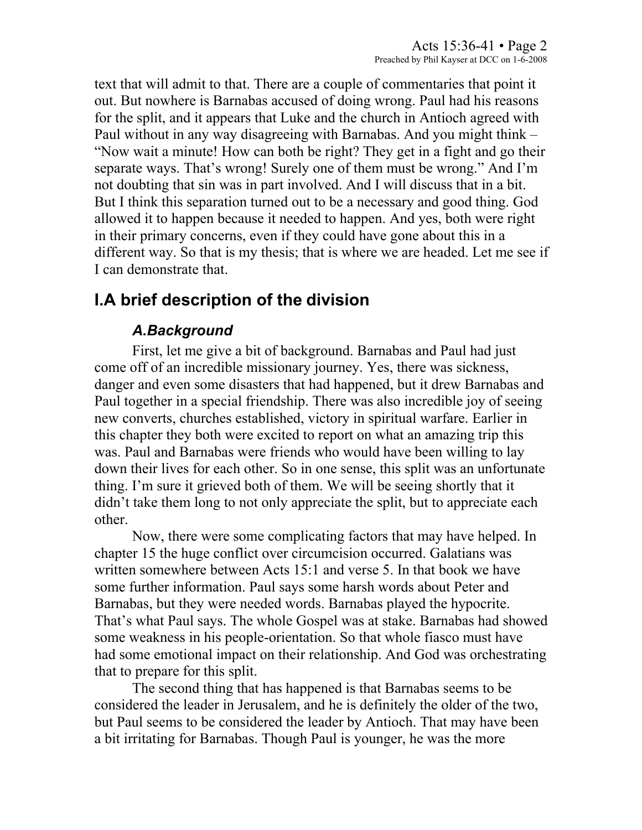text that will admit to that. There are a couple of commentaries that point it out. But nowhere is Barnabas accused of doing wrong. Paul had his reasons for the split, and it appears that Luke and the church in Antioch agreed with Paul without in any way disagreeing with Barnabas. And you might think – "Now wait a minute! How can both be right? They get in a fight and go their separate ways. That's wrong! Surely one of them must be wrong." And I'm not doubting that sin was in part involved. And I will discuss that in a bit. But I think this separation turned out to be a necessary and good thing. God allowed it to happen because it needed to happen. And yes, both were right in their primary concerns, even if they could have gone about this in a different way. So that is my thesis; that is where we are headed. Let me see if I can demonstrate that.

# **I.A brief description of the division**

# *A.Background*

First, let me give a bit of background. Barnabas and Paul had just come off of an incredible missionary journey. Yes, there was sickness, danger and even some disasters that had happened, but it drew Barnabas and Paul together in a special friendship. There was also incredible joy of seeing new converts, churches established, victory in spiritual warfare. Earlier in this chapter they both were excited to report on what an amazing trip this was. Paul and Barnabas were friends who would have been willing to lay down their lives for each other. So in one sense, this split was an unfortunate thing. I'm sure it grieved both of them. We will be seeing shortly that it didn't take them long to not only appreciate the split, but to appreciate each other.

Now, there were some complicating factors that may have helped. In chapter 15 the huge conflict over circumcision occurred. Galatians was written somewhere between Acts 15:1 and verse 5. In that book we have some further information. Paul says some harsh words about Peter and Barnabas, but they were needed words. Barnabas played the hypocrite. That's what Paul says. The whole Gospel was at stake. Barnabas had showed some weakness in his people-orientation. So that whole fiasco must have had some emotional impact on their relationship. And God was orchestrating that to prepare for this split.

The second thing that has happened is that Barnabas seems to be considered the leader in Jerusalem, and he is definitely the older of the two, but Paul seems to be considered the leader by Antioch. That may have been a bit irritating for Barnabas. Though Paul is younger, he was the more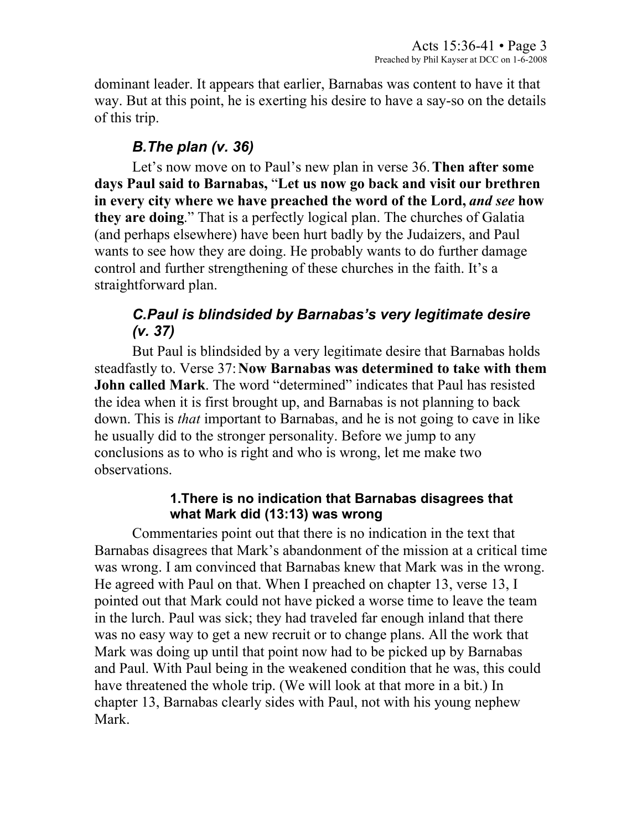dominant leader. It appears that earlier, Barnabas was content to have it that way. But at this point, he is exerting his desire to have a say-so on the details of this trip.

## *B.The plan (v. 36)*

Let's now move on to Paul's new plan in verse 36. **Then after some days Paul said to Barnabas,** "**Let us now go back and visit our brethren in every city where we have preached the word of the Lord,** *and see* **how they are doing**." That is a perfectly logical plan. The churches of Galatia (and perhaps elsewhere) have been hurt badly by the Judaizers, and Paul wants to see how they are doing. He probably wants to do further damage control and further strengthening of these churches in the faith. It's a straightforward plan.

# *C.Paul is blindsided by Barnabas's very legitimate desire (v. 37)*

But Paul is blindsided by a very legitimate desire that Barnabas holds steadfastly to. Verse 37: **Now Barnabas was determined to take with them John called Mark**. The word "determined" indicates that Paul has resisted the idea when it is first brought up, and Barnabas is not planning to back down. This is *that* important to Barnabas, and he is not going to cave in like he usually did to the stronger personality. Before we jump to any conclusions as to who is right and who is wrong, let me make two observations.

#### **1.There is no indication that Barnabas disagrees that what Mark did (13:13) was wrong**

Commentaries point out that there is no indication in the text that Barnabas disagrees that Mark's abandonment of the mission at a critical time was wrong. I am convinced that Barnabas knew that Mark was in the wrong. He agreed with Paul on that. When I preached on chapter 13, verse 13, I pointed out that Mark could not have picked a worse time to leave the team in the lurch. Paul was sick; they had traveled far enough inland that there was no easy way to get a new recruit or to change plans. All the work that Mark was doing up until that point now had to be picked up by Barnabas and Paul. With Paul being in the weakened condition that he was, this could have threatened the whole trip. (We will look at that more in a bit.) In chapter 13, Barnabas clearly sides with Paul, not with his young nephew Mark.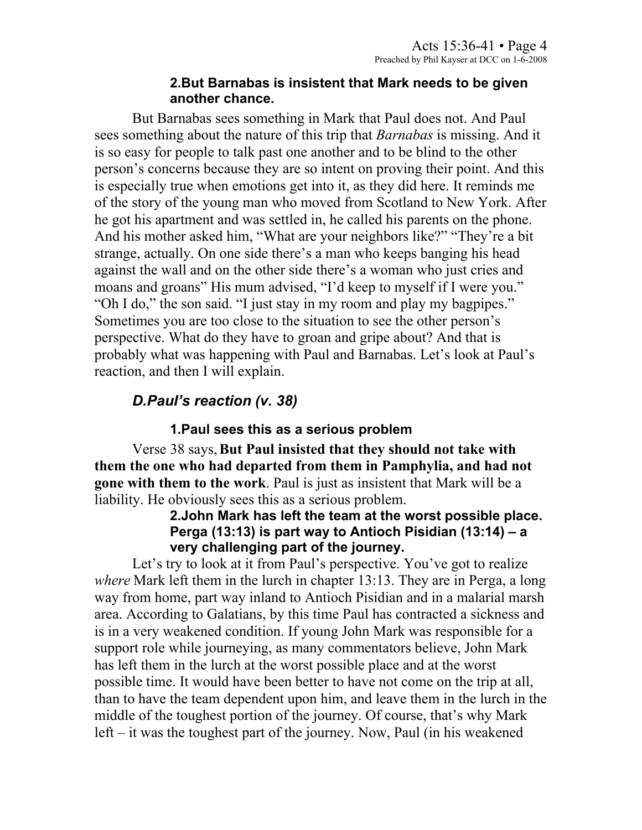#### **2.But Barnabas is insistent that Mark needs to be given another chance.**

But Barnabas sees something in Mark that Paul does not. And Paul sees something about the nature of this trip that *Barnabas* is missing. And it is so easy for people to talk past one another and to be blind to the other person's concerns because they are so intent on proving their point. And this is especially true when emotions get into it, as they did here. It reminds me of the story of the young man who moved from Scotland to New York. After he got his apartment and was settled in, he called his parents on the phone. And his mother asked him, "What are your neighbors like?" "They're a bit strange, actually. On one side there's a man who keeps banging his head against the wall and on the other side there's a woman who just cries and moans and groans" His mum advised, "I'd keep to myself if I were you." "Oh I do," the son said. "I just stay in my room and play my bagpipes." Sometimes you are too close to the situation to see the other person's perspective. What do they have to groan and gripe about? And that is probably what was happening with Paul and Barnabas. Let's look at Paul's reaction, and then I will explain.

# *D.Paul's reaction (v. 38)*

### **1.Paul sees this as a serious problem**

Verse 38 says, **But Paul insisted that they should not take with them the one who had departed from them in Pamphylia, and had not gone with them to the work**. Paul is just as insistent that Mark will be a liability. He obviously sees this as a serious problem.

#### **2.John Mark has left the team at the worst possible place. Perga (13:13) is part way to Antioch Pisidian (13:14) – a very challenging part of the journey.**

Let's try to look at it from Paul's perspective. You've got to realize *where* Mark left them in the lurch in chapter 13:13. They are in Perga, a long way from home, part way inland to Antioch Pisidian and in a malarial marsh area. According to Galatians, by this time Paul has contracted a sickness and is in a very weakened condition. If young John Mark was responsible for a support role while journeying, as many commentators believe, John Mark has left them in the lurch at the worst possible place and at the worst possible time. It would have been better to have not come on the trip at all, than to have the team dependent upon him, and leave them in the lurch in the middle of the toughest portion of the journey. Of course, that's why Mark left – it was the toughest part of the journey. Now, Paul (in his weakened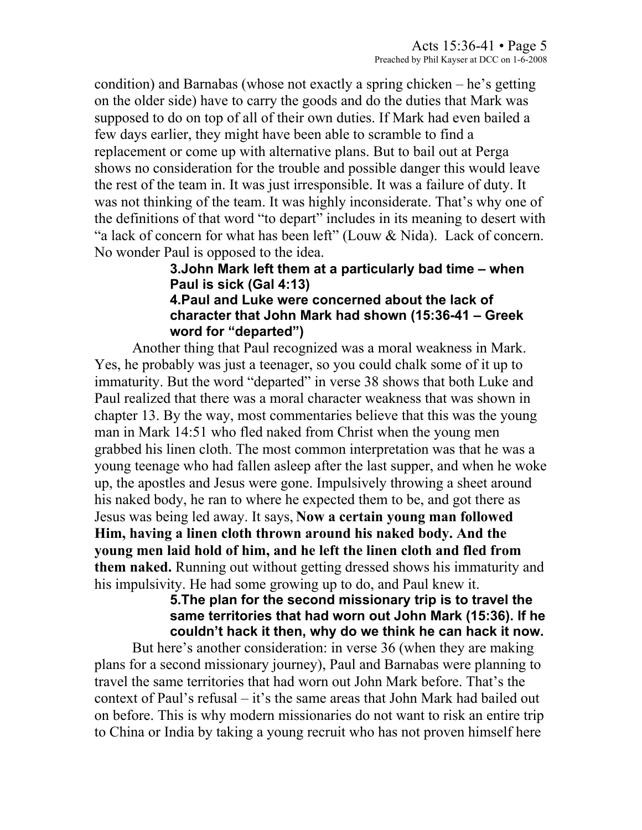condition) and Barnabas (whose not exactly a spring chicken – he's getting on the older side) have to carry the goods and do the duties that Mark was supposed to do on top of all of their own duties. If Mark had even bailed a few days earlier, they might have been able to scramble to find a replacement or come up with alternative plans. But to bail out at Perga shows no consideration for the trouble and possible danger this would leave the rest of the team in. It was just irresponsible. It was a failure of duty. It was not thinking of the team. It was highly inconsiderate. That's why one of the definitions of that word "to depart" includes in its meaning to desert with "a lack of concern for what has been left" (Louw & Nida). Lack of concern. No wonder Paul is opposed to the idea.

#### **3.John Mark left them at a particularly bad time – when Paul is sick (Gal 4:13) 4.Paul and Luke were concerned about the lack of character that John Mark had shown (15:36-41 – Greek word for "departed")**

Another thing that Paul recognized was a moral weakness in Mark. Yes, he probably was just a teenager, so you could chalk some of it up to immaturity. But the word "departed" in verse 38 shows that both Luke and Paul realized that there was a moral character weakness that was shown in chapter 13. By the way, most commentaries believe that this was the young man in Mark 14:51 who fled naked from Christ when the young men grabbed his linen cloth. The most common interpretation was that he was a young teenage who had fallen asleep after the last supper, and when he woke up, the apostles and Jesus were gone. Impulsively throwing a sheet around his naked body, he ran to where he expected them to be, and got there as Jesus was being led away. It says, **Now a certain young man followed Him, having a linen cloth thrown around his naked body. And the young men laid hold of him, and he left the linen cloth and fled from them naked.** Running out without getting dressed shows his immaturity and his impulsivity. He had some growing up to do, and Paul knew it.

#### **5.The plan for the second missionary trip is to travel the same territories that had worn out John Mark (15:36). If he couldn't hack it then, why do we think he can hack it now.**

But here's another consideration: in verse 36 (when they are making plans for a second missionary journey), Paul and Barnabas were planning to travel the same territories that had worn out John Mark before. That's the context of Paul's refusal – it's the same areas that John Mark had bailed out on before. This is why modern missionaries do not want to risk an entire trip to China or India by taking a young recruit who has not proven himself here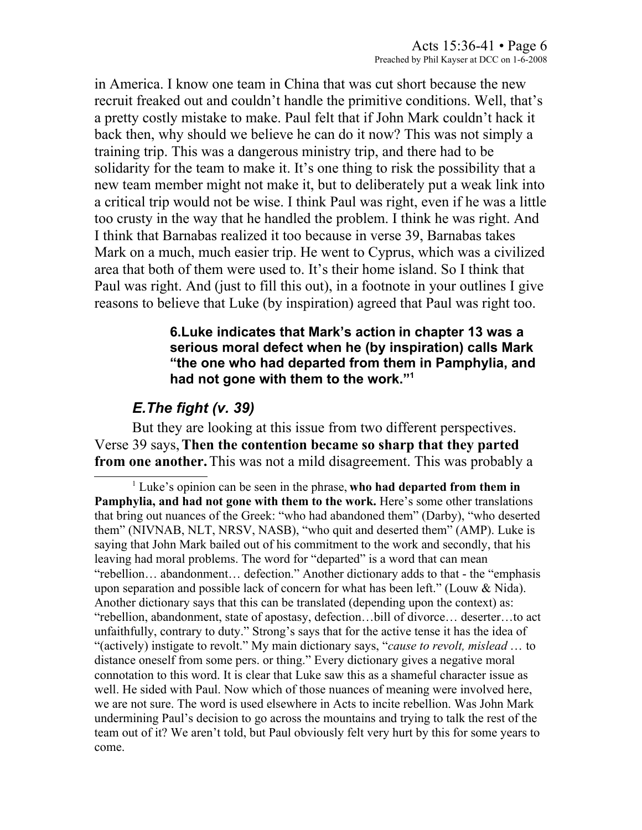in America. I know one team in China that was cut short because the new recruit freaked out and couldn't handle the primitive conditions. Well, that's a pretty costly mistake to make. Paul felt that if John Mark couldn't hack it back then, why should we believe he can do it now? This was not simply a training trip. This was a dangerous ministry trip, and there had to be solidarity for the team to make it. It's one thing to risk the possibility that a new team member might not make it, but to deliberately put a weak link into a critical trip would not be wise. I think Paul was right, even if he was a little too crusty in the way that he handled the problem. I think he was right. And I think that Barnabas realized it too because in verse 39, Barnabas takes Mark on a much, much easier trip. He went to Cyprus, which was a civilized area that both of them were used to. It's their home island. So I think that Paul was right. And (just to fill this out), in a footnote in your outlines I give reasons to believe that Luke (by inspiration) agreed that Paul was right too.

#### **6.Luke indicates that Mark's action in chapter 13 was a serious moral defect when he (by inspiration) calls Mark "the one who had departed from them in Pamphylia, and had not gone with them to the work."[1](#page-5-0)**

### *E.The fight (v. 39)*

But they are looking at this issue from two different perspectives. Verse 39 says, **Then the contention became so sharp that they parted from one another.** This was not a mild disagreement. This was probably a

<span id="page-5-0"></span><sup>1</sup> Luke's opinion can be seen in the phrase, **who had departed from them in Pamphylia, and had not gone with them to the work.** Here's some other translations that bring out nuances of the Greek: "who had abandoned them" (Darby), "who deserted them" (NIVNAB, NLT, NRSV, NASB), "who quit and deserted them" (AMP). Luke is saying that John Mark bailed out of his commitment to the work and secondly, that his leaving had moral problems. The word for "departed" is a word that can mean "rebellion… abandonment… defection." Another dictionary adds to that - the "emphasis upon separation and possible lack of concern for what has been left." (Louw & Nida). Another dictionary says that this can be translated (depending upon the context) as: "rebellion, abandonment, state of apostasy, defection…bill of divorce… deserter…to act unfaithfully, contrary to duty." Strong's says that for the active tense it has the idea of "(actively) instigate to revolt." My main dictionary says, "*cause to revolt, mislead* … to distance oneself from some pers. or thing." Every dictionary gives a negative moral connotation to this word. It is clear that Luke saw this as a shameful character issue as well. He sided with Paul. Now which of those nuances of meaning were involved here, we are not sure. The word is used elsewhere in Acts to incite rebellion. Was John Mark undermining Paul's decision to go across the mountains and trying to talk the rest of the team out of it? We aren't told, but Paul obviously felt very hurt by this for some years to come.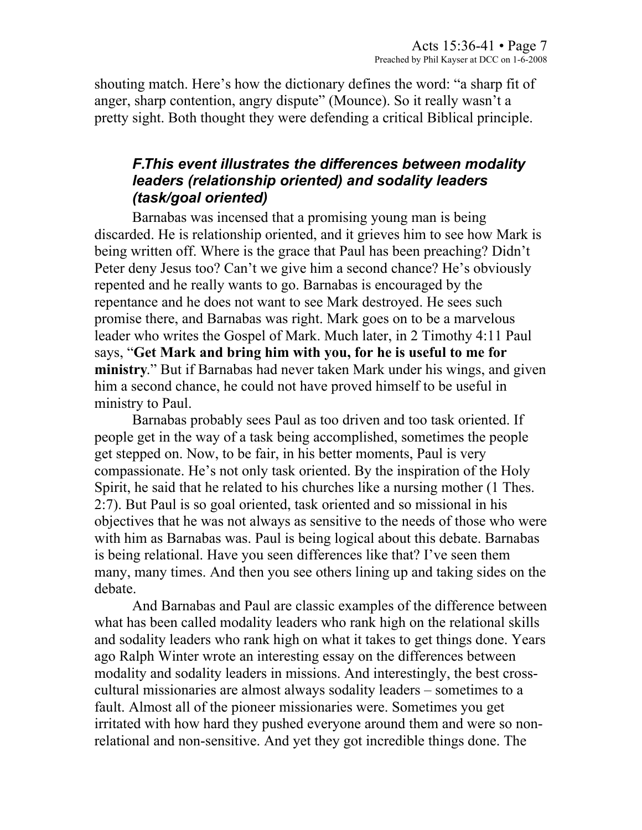shouting match. Here's how the dictionary defines the word: "a sharp fit of anger, sharp contention, angry dispute" (Mounce). So it really wasn't a pretty sight. Both thought they were defending a critical Biblical principle.

### *F.This event illustrates the differences between modality leaders (relationship oriented) and sodality leaders (task/goal oriented)*

Barnabas was incensed that a promising young man is being discarded. He is relationship oriented, and it grieves him to see how Mark is being written off. Where is the grace that Paul has been preaching? Didn't Peter deny Jesus too? Can't we give him a second chance? He's obviously repented and he really wants to go. Barnabas is encouraged by the repentance and he does not want to see Mark destroyed. He sees such promise there, and Barnabas was right. Mark goes on to be a marvelous leader who writes the Gospel of Mark. Much later, in 2 Timothy 4:11 Paul says, "**Get Mark and bring him with you, for he is useful to me for ministry**." But if Barnabas had never taken Mark under his wings, and given him a second chance, he could not have proved himself to be useful in ministry to Paul.

Barnabas probably sees Paul as too driven and too task oriented. If people get in the way of a task being accomplished, sometimes the people get stepped on. Now, to be fair, in his better moments, Paul is very compassionate. He's not only task oriented. By the inspiration of the Holy Spirit, he said that he related to his churches like a nursing mother (1 Thes. 2:7). But Paul is so goal oriented, task oriented and so missional in his objectives that he was not always as sensitive to the needs of those who were with him as Barnabas was. Paul is being logical about this debate. Barnabas is being relational. Have you seen differences like that? I've seen them many, many times. And then you see others lining up and taking sides on the debate.

And Barnabas and Paul are classic examples of the difference between what has been called modality leaders who rank high on the relational skills and sodality leaders who rank high on what it takes to get things done. Years ago Ralph Winter wrote an interesting essay on the differences between modality and sodality leaders in missions. And interestingly, the best crosscultural missionaries are almost always sodality leaders – sometimes to a fault. Almost all of the pioneer missionaries were. Sometimes you get irritated with how hard they pushed everyone around them and were so nonrelational and non-sensitive. And yet they got incredible things done. The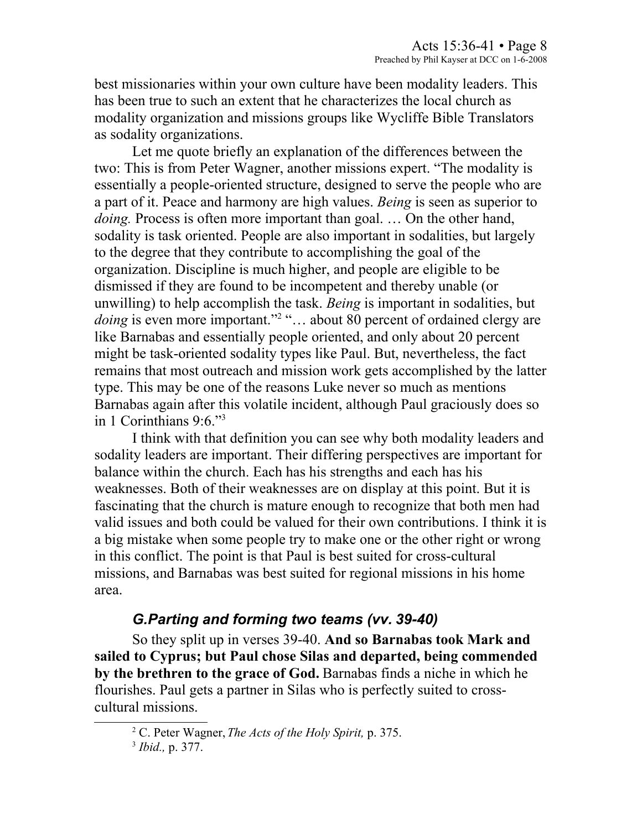best missionaries within your own culture have been modality leaders. This has been true to such an extent that he characterizes the local church as modality organization and missions groups like Wycliffe Bible Translators as sodality organizations.

Let me quote briefly an explanation of the differences between the two: This is from Peter Wagner, another missions expert. "The modality is essentially a people-oriented structure, designed to serve the people who are a part of it. Peace and harmony are high values. *Being* is seen as superior to *doing.* Process is often more important than goal. ... On the other hand, sodality is task oriented. People are also important in sodalities, but largely to the degree that they contribute to accomplishing the goal of the organization. Discipline is much higher, and people are eligible to be dismissed if they are found to be incompetent and thereby unable (or unwilling) to help accomplish the task. *Being* is important in sodalities, but doing is even more important."<sup>[2](#page-7-0)</sup> "... about 80 percent of ordained clergy are like Barnabas and essentially people oriented, and only about 20 percent might be task-oriented sodality types like Paul. But, nevertheless, the fact remains that most outreach and mission work gets accomplished by the latter type. This may be one of the reasons Luke never so much as mentions Barnabas again after this volatile incident, although Paul graciously does so in 1 Corinthians 9:6."[3](#page-7-1)

I think with that definition you can see why both modality leaders and sodality leaders are important. Their differing perspectives are important for balance within the church. Each has his strengths and each has his weaknesses. Both of their weaknesses are on display at this point. But it is fascinating that the church is mature enough to recognize that both men had valid issues and both could be valued for their own contributions. I think it is a big mistake when some people try to make one or the other right or wrong in this conflict. The point is that Paul is best suited for cross-cultural missions, and Barnabas was best suited for regional missions in his home area.

## *G.Parting and forming two teams (vv. 39-40)*

So they split up in verses 39-40. **And so Barnabas took Mark and sailed to Cyprus; but Paul chose Silas and departed, being commended by the brethren to the grace of God.** Barnabas finds a niche in which he flourishes. Paul gets a partner in Silas who is perfectly suited to crosscultural missions.

<span id="page-7-0"></span><sup>2</sup> C. Peter Wagner, *The Acts of the Holy Spirit,* p. 375.

<span id="page-7-1"></span><sup>3</sup> *Ibid.,* p. 377.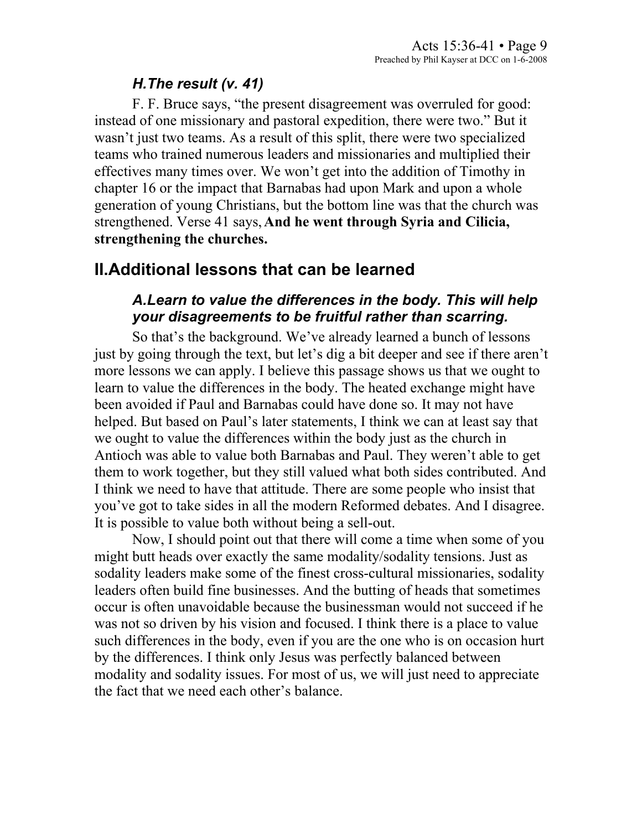### *H.The result (v. 41)*

F. F. Bruce says, "the present disagreement was overruled for good: instead of one missionary and pastoral expedition, there were two." But it wasn't just two teams. As a result of this split, there were two specialized teams who trained numerous leaders and missionaries and multiplied their effectives many times over. We won't get into the addition of Timothy in chapter 16 or the impact that Barnabas had upon Mark and upon a whole generation of young Christians, but the bottom line was that the church was strengthened. Verse 41 says, **And he went through Syria and Cilicia, strengthening the churches.**

## **II.Additional lessons that can be learned**

### *A.Learn to value the differences in the body. This will help your disagreements to be fruitful rather than scarring.*

So that's the background. We've already learned a bunch of lessons just by going through the text, but let's dig a bit deeper and see if there aren't more lessons we can apply. I believe this passage shows us that we ought to learn to value the differences in the body. The heated exchange might have been avoided if Paul and Barnabas could have done so. It may not have helped. But based on Paul's later statements, I think we can at least say that we ought to value the differences within the body just as the church in Antioch was able to value both Barnabas and Paul. They weren't able to get them to work together, but they still valued what both sides contributed. And I think we need to have that attitude. There are some people who insist that you've got to take sides in all the modern Reformed debates. And I disagree. It is possible to value both without being a sell-out.

Now, I should point out that there will come a time when some of you might butt heads over exactly the same modality/sodality tensions. Just as sodality leaders make some of the finest cross-cultural missionaries, sodality leaders often build fine businesses. And the butting of heads that sometimes occur is often unavoidable because the businessman would not succeed if he was not so driven by his vision and focused. I think there is a place to value such differences in the body, even if you are the one who is on occasion hurt by the differences. I think only Jesus was perfectly balanced between modality and sodality issues. For most of us, we will just need to appreciate the fact that we need each other's balance.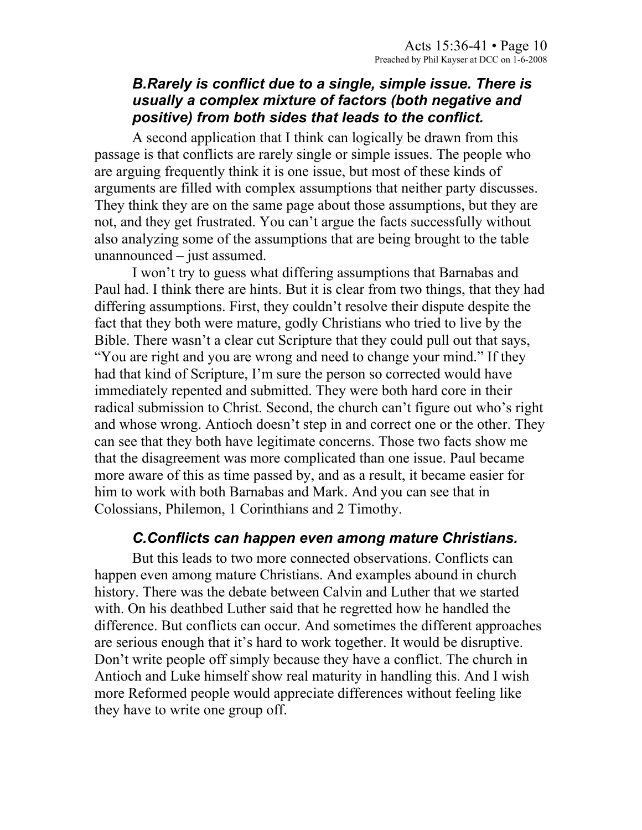#### *B.Rarely is conflict due to a single, simple issue. There is usually a complex mixture of factors (both negative and positive) from both sides that leads to the conflict.*

A second application that I think can logically be drawn from this passage is that conflicts are rarely single or simple issues. The people who are arguing frequently think it is one issue, but most of these kinds of arguments are filled with complex assumptions that neither party discusses. They think they are on the same page about those assumptions, but they are not, and they get frustrated. You can't argue the facts successfully without also analyzing some of the assumptions that are being brought to the table unannounced – just assumed.

I won't try to guess what differing assumptions that Barnabas and Paul had. I think there are hints. But it is clear from two things, that they had differing assumptions. First, they couldn't resolve their dispute despite the fact that they both were mature, godly Christians who tried to live by the Bible. There wasn't a clear cut Scripture that they could pull out that says, "You are right and you are wrong and need to change your mind." If they had that kind of Scripture, I'm sure the person so corrected would have immediately repented and submitted. They were both hard core in their radical submission to Christ. Second, the church can't figure out who's right and whose wrong. Antioch doesn't step in and correct one or the other. They can see that they both have legitimate concerns. Those two facts show me that the disagreement was more complicated than one issue. Paul became more aware of this as time passed by, and as a result, it became easier for him to work with both Barnabas and Mark. And you can see that in Colossians, Philemon, 1 Corinthians and 2 Timothy.

#### *C.Conflicts can happen even among mature Christians.*

But this leads to two more connected observations. Conflicts can happen even among mature Christians. And examples abound in church history. There was the debate between Calvin and Luther that we started with. On his deathbed Luther said that he regretted how he handled the difference. But conflicts can occur. And sometimes the different approaches are serious enough that it's hard to work together. It would be disruptive. Don't write people off simply because they have a conflict. The church in Antioch and Luke himself show real maturity in handling this. And I wish more Reformed people would appreciate differences without feeling like they have to write one group off.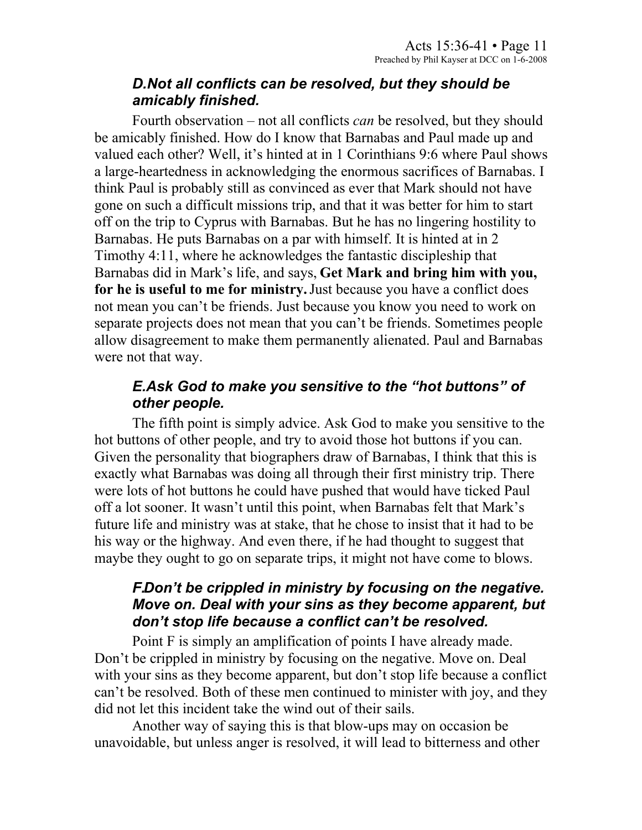### *D.Not all conflicts can be resolved, but they should be amicably finished.*

Fourth observation – not all conflicts *can* be resolved, but they should be amicably finished. How do I know that Barnabas and Paul made up and valued each other? Well, it's hinted at in 1 Corinthians 9:6 where Paul shows a large-heartedness in acknowledging the enormous sacrifices of Barnabas. I think Paul is probably still as convinced as ever that Mark should not have gone on such a difficult missions trip, and that it was better for him to start off on the trip to Cyprus with Barnabas. But he has no lingering hostility to Barnabas. He puts Barnabas on a par with himself. It is hinted at in 2 Timothy 4:11, where he acknowledges the fantastic discipleship that Barnabas did in Mark's life, and says, **Get Mark and bring him with you, for he is useful to me for ministry.** Just because you have a conflict does not mean you can't be friends. Just because you know you need to work on separate projects does not mean that you can't be friends. Sometimes people allow disagreement to make them permanently alienated. Paul and Barnabas were not that way.

## *E.Ask God to make you sensitive to the "hot buttons" of other people.*

The fifth point is simply advice. Ask God to make you sensitive to the hot buttons of other people, and try to avoid those hot buttons if you can. Given the personality that biographers draw of Barnabas, I think that this is exactly what Barnabas was doing all through their first ministry trip. There were lots of hot buttons he could have pushed that would have ticked Paul off a lot sooner. It wasn't until this point, when Barnabas felt that Mark's future life and ministry was at stake, that he chose to insist that it had to be his way or the highway. And even there, if he had thought to suggest that maybe they ought to go on separate trips, it might not have come to blows.

## *F.Don't be crippled in ministry by focusing on the negative. Move on. Deal with your sins as they become apparent, but don't stop life because a conflict can't be resolved.*

Point F is simply an amplification of points I have already made. Don't be crippled in ministry by focusing on the negative. Move on. Deal with your sins as they become apparent, but don't stop life because a conflict can't be resolved. Both of these men continued to minister with joy, and they did not let this incident take the wind out of their sails.

Another way of saying this is that blow-ups may on occasion be unavoidable, but unless anger is resolved, it will lead to bitterness and other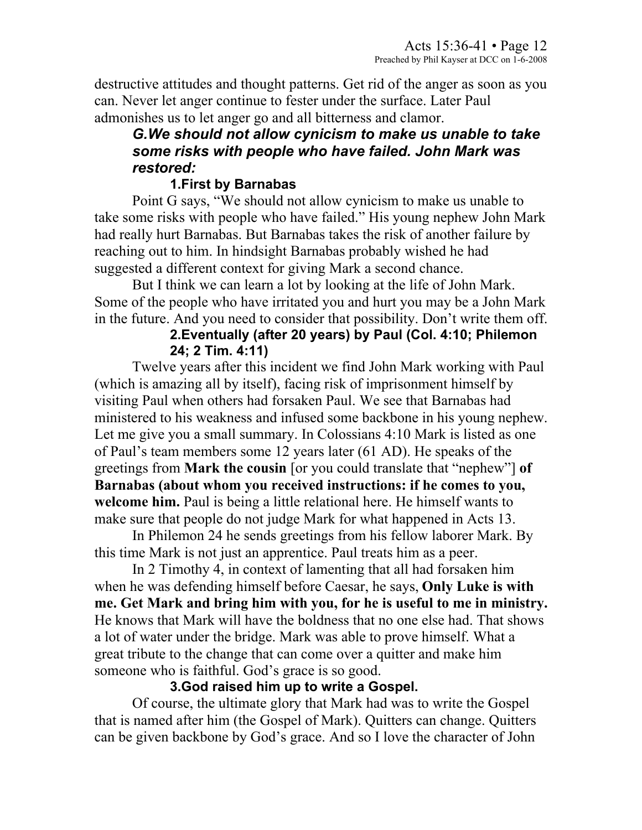destructive attitudes and thought patterns. Get rid of the anger as soon as you can. Never let anger continue to fester under the surface. Later Paul admonishes us to let anger go and all bitterness and clamor.

### *G.We should not allow cynicism to make us unable to take some risks with people who have failed. John Mark was restored:*

### **1.First by Barnabas**

Point G says, "We should not allow cynicism to make us unable to take some risks with people who have failed." His young nephew John Mark had really hurt Barnabas. But Barnabas takes the risk of another failure by reaching out to him. In hindsight Barnabas probably wished he had suggested a different context for giving Mark a second chance.

But I think we can learn a lot by looking at the life of John Mark. Some of the people who have irritated you and hurt you may be a John Mark in the future. And you need to consider that possibility. Don't write them off.

## **2.Eventually (after 20 years) by Paul (Col. 4:10; Philemon 24; 2 Tim. 4:11)**

Twelve years after this incident we find John Mark working with Paul (which is amazing all by itself), facing risk of imprisonment himself by visiting Paul when others had forsaken Paul. We see that Barnabas had ministered to his weakness and infused some backbone in his young nephew. Let me give you a small summary. In Colossians 4:10 Mark is listed as one of Paul's team members some 12 years later (61 AD). He speaks of the greetings from **Mark the cousin** [or you could translate that "nephew"] **of Barnabas (about whom you received instructions: if he comes to you, welcome him.** Paul is being a little relational here. He himself wants to make sure that people do not judge Mark for what happened in Acts 13.

In Philemon 24 he sends greetings from his fellow laborer Mark. By this time Mark is not just an apprentice. Paul treats him as a peer.

In 2 Timothy 4, in context of lamenting that all had forsaken him when he was defending himself before Caesar, he says, **Only Luke is with me. Get Mark and bring him with you, for he is useful to me in ministry.** He knows that Mark will have the boldness that no one else had. That shows a lot of water under the bridge. Mark was able to prove himself. What a great tribute to the change that can come over a quitter and make him someone who is faithful. God's grace is so good.

### **3.God raised him up to write a Gospel.**

Of course, the ultimate glory that Mark had was to write the Gospel that is named after him (the Gospel of Mark). Quitters can change. Quitters can be given backbone by God's grace. And so I love the character of John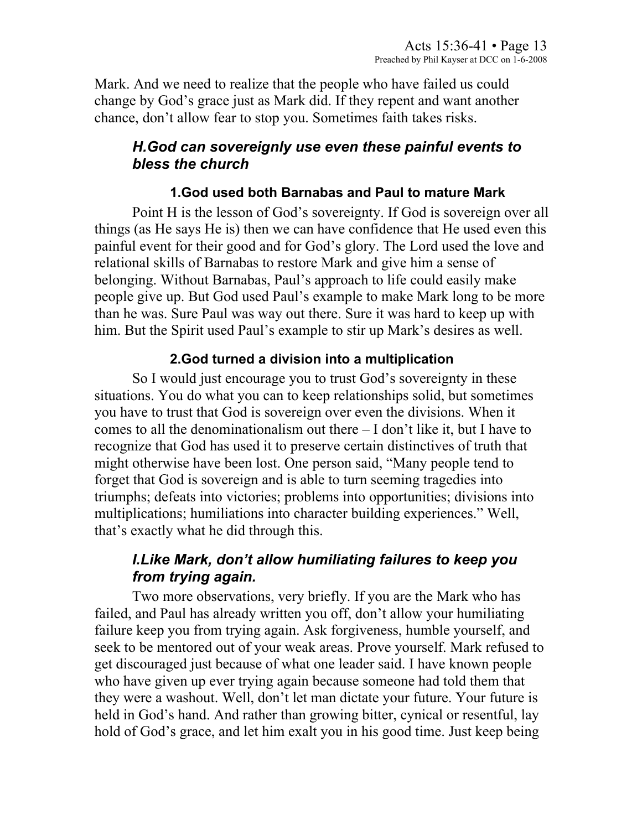Mark. And we need to realize that the people who have failed us could change by God's grace just as Mark did. If they repent and want another chance, don't allow fear to stop you. Sometimes faith takes risks.

## *H.God can sovereignly use even these painful events to bless the church*

### **1.God used both Barnabas and Paul to mature Mark**

Point H is the lesson of God's sovereignty. If God is sovereign over all things (as He says He is) then we can have confidence that He used even this painful event for their good and for God's glory. The Lord used the love and relational skills of Barnabas to restore Mark and give him a sense of belonging. Without Barnabas, Paul's approach to life could easily make people give up. But God used Paul's example to make Mark long to be more than he was. Sure Paul was way out there. Sure it was hard to keep up with him. But the Spirit used Paul's example to stir up Mark's desires as well.

# **2.God turned a division into a multiplication**

So I would just encourage you to trust God's sovereignty in these situations. You do what you can to keep relationships solid, but sometimes you have to trust that God is sovereign over even the divisions. When it comes to all the denominationalism out there – I don't like it, but I have to recognize that God has used it to preserve certain distinctives of truth that might otherwise have been lost. One person said, "Many people tend to forget that God is sovereign and is able to turn seeming tragedies into triumphs; defeats into victories; problems into opportunities; divisions into multiplications; humiliations into character building experiences." Well, that's exactly what he did through this.

## *I.Like Mark, don't allow humiliating failures to keep you from trying again.*

Two more observations, very briefly. If you are the Mark who has failed, and Paul has already written you off, don't allow your humiliating failure keep you from trying again. Ask forgiveness, humble yourself, and seek to be mentored out of your weak areas. Prove yourself. Mark refused to get discouraged just because of what one leader said. I have known people who have given up ever trying again because someone had told them that they were a washout. Well, don't let man dictate your future. Your future is held in God's hand. And rather than growing bitter, cynical or resentful, lay hold of God's grace, and let him exalt you in his good time. Just keep being